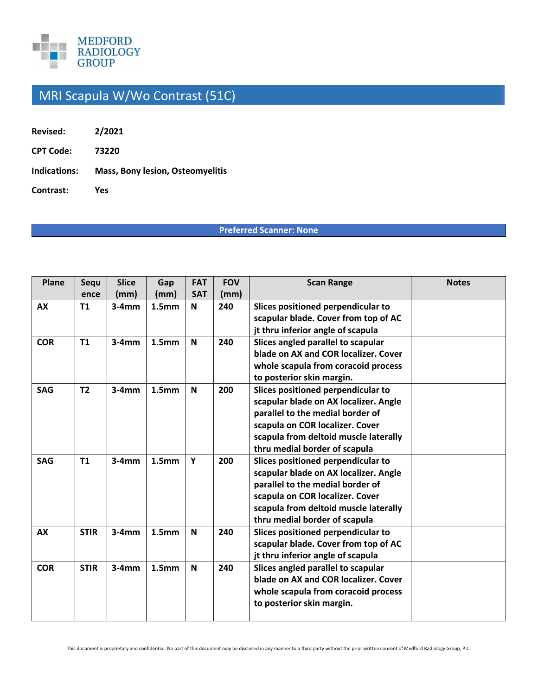

## MRI Scapula W/Wo Contrast (51C)

| Revised: | 2/2021 |
|----------|--------|
|----------|--------|

**CPT Code: 73220** 

**Indications: Mass, Bony lesion, Osteomyelitis** 

**Contrast: Yes** 

## **Preferred Scanner: None**

| Plane      | Sequ           | <b>Slice</b> | Gap               | <b>FAT</b>  | <b>FOV</b> | <b>Scan Range</b>                     | <b>Notes</b> |
|------------|----------------|--------------|-------------------|-------------|------------|---------------------------------------|--------------|
|            | ence           | (mm)         | (mm)              | <b>SAT</b>  | (mm)       |                                       |              |
| AX         | <b>T1</b>      | $3-4mm$      | 1.5 <sub>mm</sub> | N           | 240        | Slices positioned perpendicular to    |              |
|            |                |              |                   |             |            | scapular blade. Cover from top of AC  |              |
|            |                |              |                   |             |            | jt thru inferior angle of scapula     |              |
| <b>COR</b> | T1             | $3-4mm$      | 1.5 <sub>mm</sub> | N           | 240        | Slices angled parallel to scapular    |              |
|            |                |              |                   |             |            | blade on AX and COR localizer. Cover  |              |
|            |                |              |                   |             |            | whole scapula from coracoid process   |              |
|            |                |              |                   |             |            | to posterior skin margin.             |              |
| <b>SAG</b> | T <sub>2</sub> | $3-4mm$      | 1.5 <sub>mm</sub> | N           | 200        | Slices positioned perpendicular to    |              |
|            |                |              |                   |             |            | scapular blade on AX localizer. Angle |              |
|            |                |              |                   |             |            | parallel to the medial border of      |              |
|            |                |              |                   |             |            | scapula on COR localizer. Cover       |              |
|            |                |              |                   |             |            | scapula from deltoid muscle laterally |              |
|            |                |              |                   |             |            | thru medial border of scapula         |              |
| <b>SAG</b> | T1             | $3-4mm$      | 1.5 <sub>mm</sub> | Y           | 200        | Slices positioned perpendicular to    |              |
|            |                |              |                   |             |            | scapular blade on AX localizer. Angle |              |
|            |                |              |                   |             |            | parallel to the medial border of      |              |
|            |                |              |                   |             |            | scapula on COR localizer. Cover       |              |
|            |                |              |                   |             |            | scapula from deltoid muscle laterally |              |
|            |                |              |                   |             |            | thru medial border of scapula         |              |
| <b>AX</b>  | <b>STIR</b>    | $3-4mm$      | 1.5 <sub>mm</sub> | $\mathbf N$ | 240        | Slices positioned perpendicular to    |              |
|            |                |              |                   |             |            | scapular blade. Cover from top of AC  |              |
|            |                |              |                   |             |            | jt thru inferior angle of scapula     |              |
| <b>COR</b> | <b>STIR</b>    | $3-4mm$      | 1.5 <sub>mm</sub> | N           | 240        | Slices angled parallel to scapular    |              |
|            |                |              |                   |             |            | blade on AX and COR localizer. Cover  |              |
|            |                |              |                   |             |            | whole scapula from coracoid process   |              |
|            |                |              |                   |             |            | to posterior skin margin.             |              |
|            |                |              |                   |             |            |                                       |              |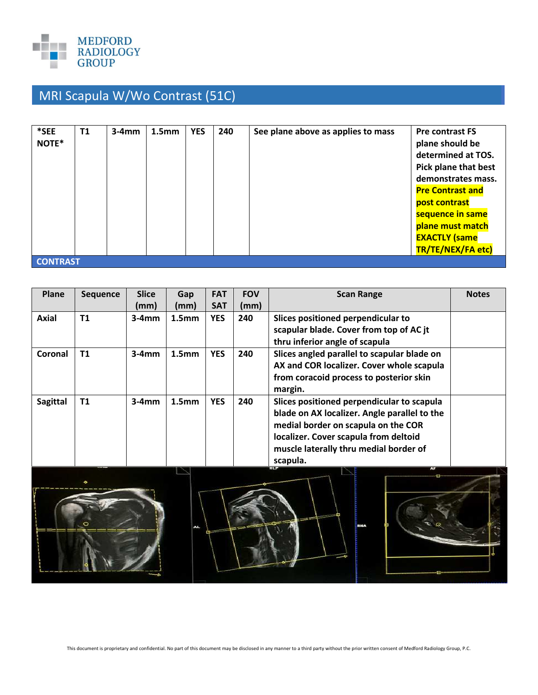

## MRI Scapula W/Wo Contrast (51C)

| *SEE<br>NOTE*   | <b>T1</b> | $3-4mm$ | 1.5 <sub>mm</sub> | <b>YES</b> | 240 | See plane above as applies to mass | <b>Pre contrast FS</b><br>plane should be<br>determined at TOS.<br><b>Pick plane that best</b><br>demonstrates mass.<br><b>Pre Contrast and</b><br>post contrast<br>sequence in same<br>plane must match<br><b>EXACTLY (same</b> |
|-----------------|-----------|---------|-------------------|------------|-----|------------------------------------|----------------------------------------------------------------------------------------------------------------------------------------------------------------------------------------------------------------------------------|
| <b>CONTRAST</b> |           |         |                   |            |     |                                    | TR/TE/NEX/FA etc)                                                                                                                                                                                                                |

| Plane           | <b>Sequence</b> | <b>Slice</b> | Gap               | <b>FAT</b> | <b>FOV</b> | <b>Scan Range</b>                            | <b>Notes</b> |
|-----------------|-----------------|--------------|-------------------|------------|------------|----------------------------------------------|--------------|
|                 |                 | (mm)         | (mm)              | <b>SAT</b> | (mm)       |                                              |              |
| <b>Axial</b>    | <b>T1</b>       | $3-4mm$      | 1.5 <sub>mm</sub> | <b>YES</b> | 240        | Slices positioned perpendicular to           |              |
|                 |                 |              |                   |            |            | scapular blade. Cover from top of AC jt      |              |
|                 |                 |              |                   |            |            | thru inferior angle of scapula               |              |
| Coronal         | T1              | $3-4mm$      | 1.5 <sub>mm</sub> | <b>YES</b> | 240        | Slices angled parallel to scapular blade on  |              |
|                 |                 |              |                   |            |            | AX and COR localizer. Cover whole scapula    |              |
|                 |                 |              |                   |            |            | from coracoid process to posterior skin      |              |
|                 |                 |              |                   |            |            | margin.                                      |              |
| <b>Sagittal</b> | T1              | $3-4mm$      | 1.5 <sub>mm</sub> | <b>YES</b> | 240        | Slices positioned perpendicular to scapula   |              |
|                 |                 |              |                   |            |            | blade on AX localizer. Angle parallel to the |              |
|                 |                 |              |                   |            |            | medial border on scapula on the COR          |              |
|                 |                 |              |                   |            |            | localizer. Cover scapula from deltoid        |              |
|                 |                 |              |                   |            |            | muscle laterally thru medial border of       |              |
|                 |                 |              |                   |            |            | scapula.                                     |              |